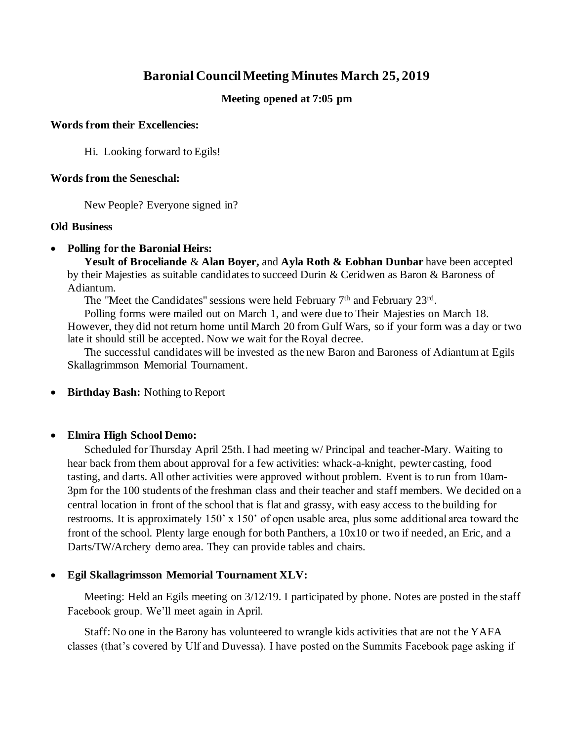# **Baronial Council Meeting Minutes March 25, 2019**

## **Meeting opened at 7:05 pm**

#### **Words from their Excellencies:**

Hi. Looking forward to Egils!

#### **Words from the Seneschal:**

New People? Everyone signed in?

## **Old Business**

## • **Polling for the Baronial Heirs:**

**Yesult of Broceliande** & **Alan Boyer,** and **Ayla Roth & Eobhan Dunbar** have been accepted by their Majesties as suitable candidates to succeed Durin & Ceridwen as Baron & Baroness of Adiantum.

The "Meet the Candidates" sessions were held February 7<sup>th</sup> and February 23<sup>rd</sup>.

Polling forms were mailed out on March 1, and were due to Their Majesties on March 18. However, they did not return home until March 20 from Gulf Wars, so if your form was a day or two late it should still be accepted. Now we wait for the Royal decree.

The successful candidates will be invested as the new Baron and Baroness of Adiantum at Egils Skallagrimmson Memorial Tournament.

## • **Birthday Bash:** Nothing to Report

## • **Elmira High School Demo:**

Scheduled for Thursday April 25th. I had meeting w/ Principal and teacher-Mary. Waiting to hear back from them about approval for a few activities: whack-a-knight, pewter casting, food tasting, and darts. All other activities were approved without problem. Event is to run from 10am-3pm for the 100 students of the freshman class and their teacher and staff members. We decided on a central location in front of the school that is flat and grassy, with easy access to the building for restrooms. It is approximately 150' x 150' of open usable area, plus some additional area toward the front of the school. Plenty large enough for both Panthers, a 10x10 or two if needed, an Eric, and a Darts/TW/Archery demo area. They can provide tables and chairs.

## • **Egil Skallagrimsson Memorial Tournament XLV:**

Meeting: Held an Egils meeting on 3/12/19. I participated by phone. Notes are posted in the staff Facebook group. We'll meet again in April.

Staff: No one in the Barony has volunteered to wrangle kids activities that are not the YAFA classes (that's covered by Ulf and Duvessa). I have posted on the Summits Facebook page asking if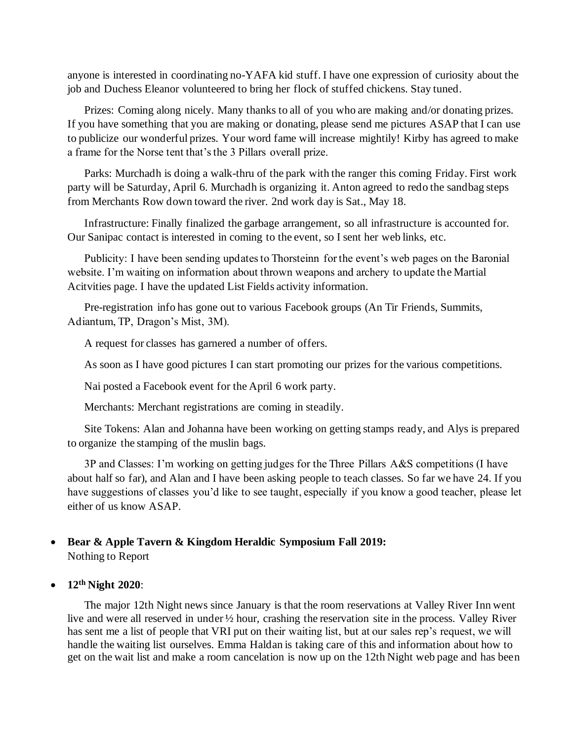anyone is interested in coordinating no-YAFA kid stuff. I have one expression of curiosity about the job and Duchess Eleanor volunteered to bring her flock of stuffed chickens. Stay tuned.

Prizes: Coming along nicely. Many thanks to all of you who are making and/or donating prizes. If you have something that you are making or donating, please send me pictures ASAP that I can use to publicize our wonderful prizes. Your word fame will increase mightily! Kirby has agreed to make a frame for the Norse tent that's the 3 Pillars overall prize.

Parks: Murchadh is doing a walk-thru of the park with the ranger this coming Friday. First work party will be Saturday, April 6. Murchadh is organizing it. Anton agreed to redo the sandbag steps from Merchants Row down toward the river. 2nd work day is Sat., May 18.

Infrastructure: Finally finalized the garbage arrangement, so all infrastructure is accounted for. Our Sanipac contact is interested in coming to the event, so I sent her web links, etc.

Publicity: I have been sending updates to Thorsteinn for the event's web pages on the Baronial website. I'm waiting on information about thrown weapons and archery to update the Martial Acitvities page. I have the updated List Fields activity information.

Pre-registration info has gone out to various Facebook groups (An Tir Friends, Summits, Adiantum, TP, Dragon's Mist, 3M).

A request for classes has garnered a number of offers.

As soon as I have good pictures I can start promoting our prizes for the various competitions.

Nai posted a Facebook event for the April 6 work party.

Merchants: Merchant registrations are coming in steadily.

Site Tokens: Alan and Johanna have been working on getting stamps ready, and Alys is prepared to organize the stamping of the muslin bags.

3P and Classes: I'm working on getting judges for the Three Pillars A&S competitions (I have about half so far), and Alan and I have been asking people to teach classes. So far we have 24. If you have suggestions of classes you'd like to see taught, especially if you know a good teacher, please let either of us know ASAP.

#### • **Bear & Apple Tavern & Kingdom Heraldic Symposium Fall 2019:** Nothing to Report

#### • **12th Night 2020**:

The major 12th Night news since January is that the room reservations at Valley River Inn went live and were all reserved in under ½ hour, crashing the reservation site in the process. Valley River has sent me a list of people that VRI put on their waiting list, but at our sales rep's request, we will handle the waiting list ourselves. Emma Haldan is taking care of this and information about how to get on the wait list and make a room cancelation is now up on the 12th Night web page and has been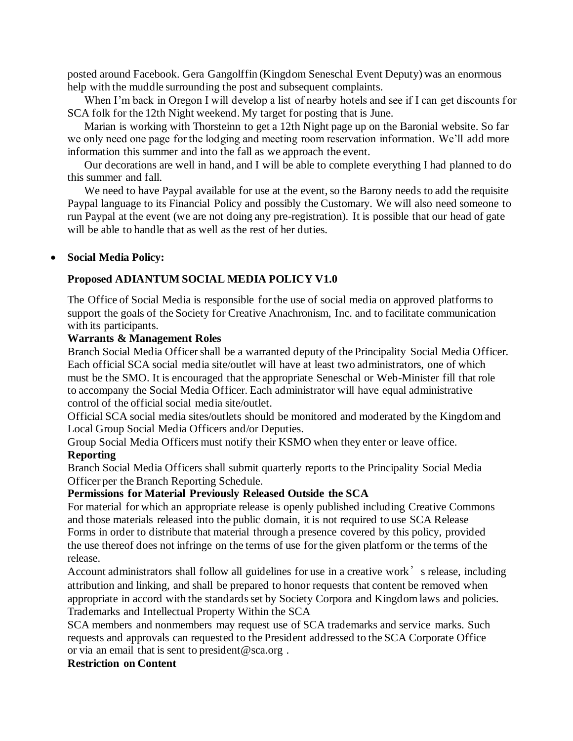posted around Facebook. Gera Gangolffin (Kingdom Seneschal Event Deputy) was an enormous help with the muddle surrounding the post and subsequent complaints.

When I'm back in Oregon I will develop a list of nearby hotels and see if I can get discounts for SCA folk for the 12th Night weekend. My target for posting that is June.

Marian is working with Thorsteinn to get a 12th Night page up on the Baronial website. So far we only need one page for the lodging and meeting room reservation information. We'll add more information this summer and into the fall as we approach the event.

Our decorations are well in hand, and I will be able to complete everything I had planned to do this summer and fall.

We need to have Paypal available for use at the event, so the Barony needs to add the requisite Paypal language to its Financial Policy and possibly the Customary. We will also need someone to run Paypal at the event (we are not doing any pre-registration). It is possible that our head of gate will be able to handle that as well as the rest of her duties.

#### • **Social Media Policy:**

#### **Proposed ADIANTUM SOCIAL MEDIA POLICY V1.0**

The Office of Social Media is responsible for the use of social media on approved platforms to support the goals of the Society for Creative Anachronism, Inc. and to facilitate communication with its participants.

#### **Warrants & Management Roles**

Branch Social Media Officer shall be a warranted deputy of the Principality Social Media Officer. Each official SCA social media site/outlet will have at least two administrators, one of which must be the SMO. It is encouraged that the appropriate Seneschal or Web-Minister fill that role to accompany the Social Media Officer. Each administrator will have equal administrative control of the official social media site/outlet.

Official SCA social media sites/outlets should be monitored and moderated by the Kingdom and Local Group Social Media Officers and/or Deputies.

Group Social Media Officers must notify their KSMO when they enter or leave office. **Reporting**

Branch Social Media Officers shall submit quarterly reports to the Principality Social Media Officer per the Branch Reporting Schedule.

## **Permissions for Material Previously Released Outside the SCA**

For material for which an appropriate release is openly published including Creative Commons and those materials released into the public domain, it is not required to use SCA Release Forms in order to distribute that material through a presence covered by this policy, provided the use thereof does not infringe on the terms of use for the given platform or the terms of the release.

Account administrators shall follow all guidelines for use in a creative work's release, including attribution and linking, and shall be prepared to honor requests that content be removed when appropriate in accord with the standards set by Society Corpora and Kingdom laws and policies. Trademarks and Intellectual Property Within the SCA

SCA members and nonmembers may request use of SCA trademarks and service marks. Such requests and approvals can requested to the President addressed to the SCA Corporate Office or via an email that is sent to president@sca.org .

## **Restriction on Content**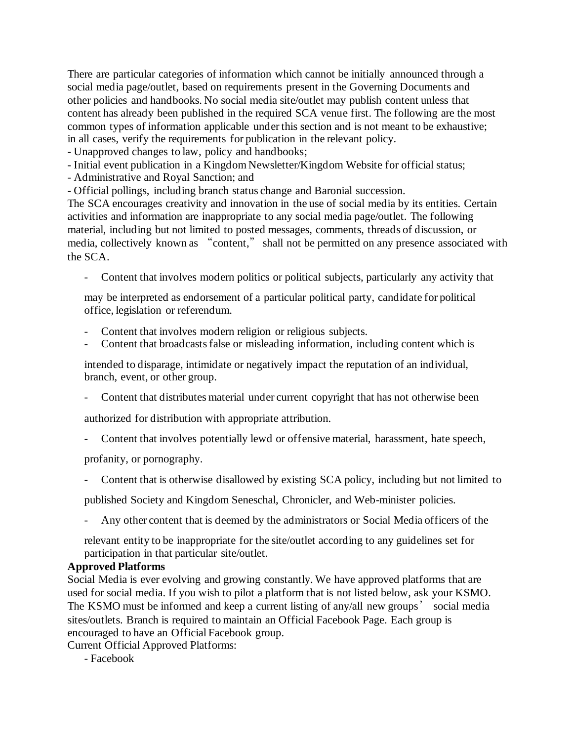There are particular categories of information which cannot be initially announced through a social media page/outlet, based on requirements present in the Governing Documents and other policies and handbooks. No social media site/outlet may publish content unless that content has already been published in the required SCA venue first. The following are the most common types of information applicable under this section and is not meant to be exhaustive; in all cases, verify the requirements for publication in the relevant policy.

- Unapproved changes to law, policy and handbooks;

- Initial event publication in a Kingdom Newsletter/Kingdom Website for official status;

- Administrative and Royal Sanction; and

- Official pollings, including branch status change and Baronial succession.

The SCA encourages creativity and innovation in the use of social media by its entities. Certain activities and information are inappropriate to any social media page/outlet. The following material, including but not limited to posted messages, comments, threads of discussion, or media, collectively known as "content," shall not be permitted on any presence associated with the SCA.

- Content that involves modern politics or political subjects, particularly any activity that

may be interpreted as endorsement of a particular political party, candidate for political office, legislation or referendum.

- Content that involves modern religion or religious subjects.
- Content that broadcasts false or misleading information, including content which is

intended to disparage, intimidate or negatively impact the reputation of an individual, branch, event, or other group.

- Content that distributes material under current copyright that has not otherwise been

authorized for distribution with appropriate attribution.

- Content that involves potentially lewd or offensive material, harassment, hate speech,

profanity, or pornography.

- Content that is otherwise disallowed by existing SCA policy, including but not limited to

published Society and Kingdom Seneschal, Chronicler, and Web-minister policies.

Any other content that is deemed by the administrators or Social Media officers of the

relevant entity to be inappropriate for the site/outlet according to any guidelines set for participation in that particular site/outlet.

## **Approved Platforms**

Social Media is ever evolving and growing constantly. We have approved platforms that are used for social media. If you wish to pilot a platform that is not listed below, ask your KSMO. The KSMO must be informed and keep a current listing of any/all new groups' social media sites/outlets. Branch is required to maintain an Official Facebook Page. Each group is encouraged to have an Official Facebook group.

Current Official Approved Platforms:

- Facebook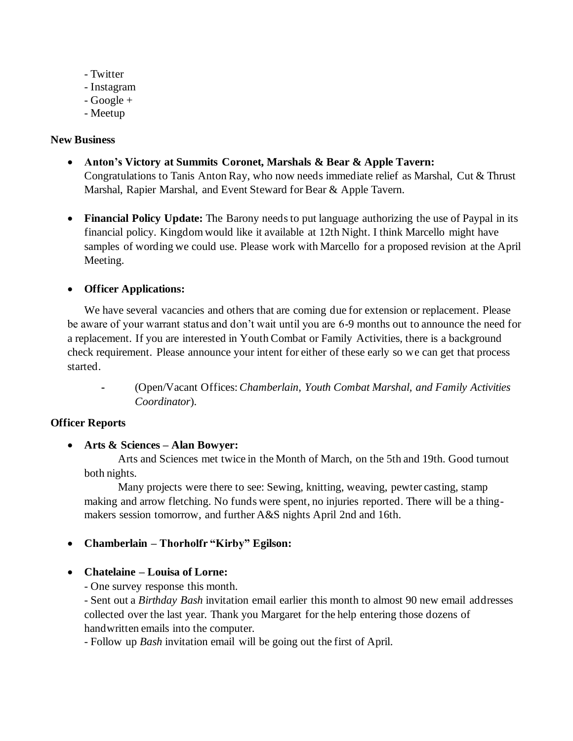- Twitter
- Instagram
- Google +
- Meetup

## **New Business**

- **Anton's Victory at Summits Coronet, Marshals & Bear & Apple Tavern:** Congratulations to Tanis Anton Ray, who now needs immediate relief as Marshal, Cut & Thrust Marshal, Rapier Marshal, and Event Steward for Bear & Apple Tavern.
- **Financial Policy Update:** The Barony needs to put language authorizing the use of Paypal in its financial policy. Kingdom would like it available at 12th Night. I think Marcello might have samples of wording we could use. Please work with Marcello for a proposed revision at the April Meeting.

## • **Officer Applications:**

We have several vacancies and others that are coming due for extension or replacement. Please be aware of your warrant status and don't wait until you are 6-9 months out to announce the need for a replacement. If you are interested in Youth Combat or Family Activities, there is a background check requirement. Please announce your intent for either of these early so we can get that process started.

**-** (Open/Vacant Offices: *Chamberlain*, *Youth Combat Marshal, and Family Activities Coordinator*).

## **Officer Reports**

## • **Arts & Sciences – Alan Bowyer:**

Arts and Sciences met twice in the Month of March, on the 5th and 19th. Good turnout both nights.

Many projects were there to see: Sewing, knitting, weaving, pewter casting, stamp making and arrow fletching. No funds were spent, no injuries reported. There will be a thingmakers session tomorrow, and further A&S nights April 2nd and 16th.

## • **Chamberlain – Thorholfr "Kirby" Egilson:**

## • **Chatelaine – Louisa of Lorne:**

- One survey response this month.

- Sent out a *Birthday Bash* invitation email earlier this month to almost 90 new email addresses collected over the last year. Thank you Margaret for the help entering those dozens of handwritten emails into the computer.

- Follow up *Bash* invitation email will be going out the first of April.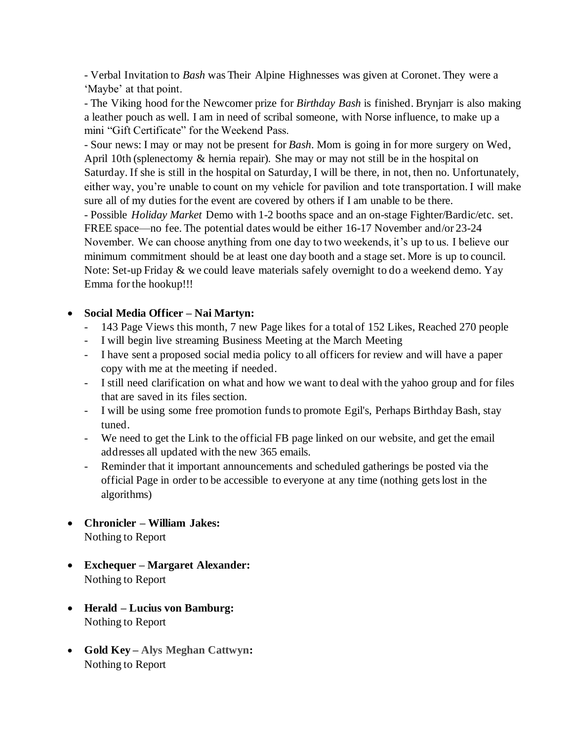- Verbal Invitation to *Bash* was Their Alpine Highnesses was given at Coronet. They were a 'Maybe' at that point.

- The Viking hood for the Newcomer prize for *Birthday Bash* is finished. Brynjarr is also making a leather pouch as well. I am in need of scribal someone, with Norse influence, to make up a mini "Gift Certificate" for the Weekend Pass.

- Sour news: I may or may not be present for *Bash*. Mom is going in for more surgery on Wed, April 10th (splenectomy & hernia repair). She may or may not still be in the hospital on Saturday. If she is still in the hospital on Saturday, I will be there, in not, then no. Unfortunately, either way, you're unable to count on my vehicle for pavilion and tote transportation. I will make sure all of my duties for the event are covered by others if I am unable to be there.

- Possible *Holiday Market* Demo with 1-2 booths space and an on-stage Fighter/Bardic/etc. set. FREE space—no fee. The potential dates would be either 16-17 November and/or 23-24 November. We can choose anything from one day to two weekends, it's up to us. I believe our minimum commitment should be at least one day booth and a stage set. More is up to council. Note: Set-up Friday & we could leave materials safely overnight to do a weekend demo. Yay Emma for the hookup!!!

## • **Social Media Officer – Nai Martyn:**

- 143 Page Views this month, 7 new Page likes for a total of 152 Likes, Reached 270 people
- I will begin live streaming Business Meeting at the March Meeting
- I have sent a proposed social media policy to all officers for review and will have a paper copy with me at the meeting if needed.
- I still need clarification on what and how we want to deal with the yahoo group and for files that are saved in its files section.
- I will be using some free promotion funds to promote Egil's, Perhaps Birthday Bash, stay tuned.
- We need to get the Link to the official FB page linked on our website, and get the email addresses all updated with the new 365 emails.
- Reminder that it important announcements and scheduled gatherings be posted via the official Page in order to be accessible to everyone at any time (nothing gets lost in the algorithms)
- **Chronicler – William Jakes:** Nothing to Report
- **Exchequer – Margaret Alexander:**  Nothing to Report
- **Herald – Lucius von Bamburg:** Nothing to Report
- **Gold Key – Alys Meghan Cattwyn:**  Nothing to Report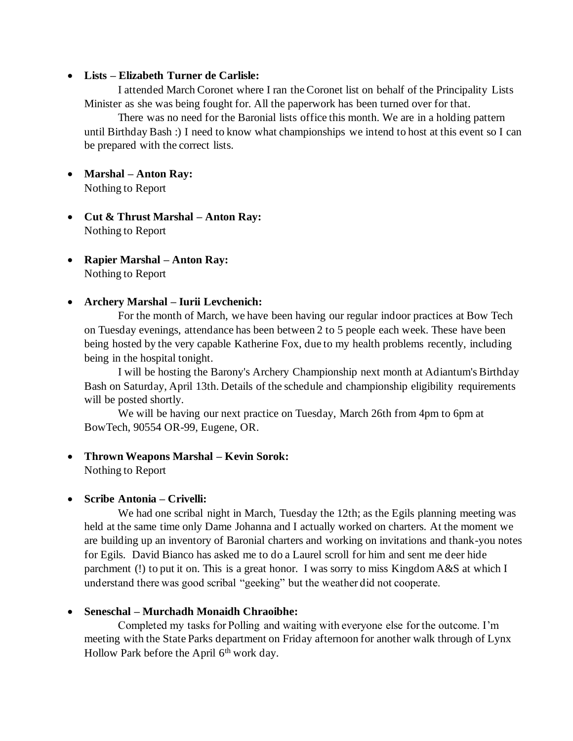## • **Lists – Elizabeth Turner de Carlisle:**

I attended March Coronet where I ran the Coronet list on behalf of the Principality Lists Minister as she was being fought for. All the paperwork has been turned over for that.

There was no need for the Baronial lists office this month. We are in a holding pattern until Birthday Bash :) I need to know what championships we intend to host at this event so I can be prepared with the correct lists.

- **Marshal – Anton Ray:**  Nothing to Report
- **Cut & Thrust Marshal – Anton Ray:**  Nothing to Report
- **Rapier Marshal – Anton Ray:**  Nothing to Report

## • **Archery Marshal – Iurii Levchenich:**

For the month of March, we have been having our regular indoor practices at Bow Tech on Tuesday evenings, attendance has been between 2 to 5 people each week. These have been being hosted by the very capable Katherine Fox, due to my health problems recently, including being in the hospital tonight.

I will be hosting the Barony's Archery Championship next month at Adiantum's Birthday Bash on Saturday, April 13th. Details of the schedule and championship eligibility requirements will be posted shortly.

We will be having our next practice on Tuesday, March 26th from 4pm to 6pm at BowTech, 90554 OR-99, Eugene, OR.

## • **Thrown Weapons Marshal – Kevin Sorok:**

Nothing to Report

## • **Scribe Antonia – Crivelli:**

We had one scribal night in March, Tuesday the 12th; as the Egils planning meeting was held at the same time only Dame Johanna and I actually worked on charters. At the moment we are building up an inventory of Baronial charters and working on invitations and thank-you notes for Egils. David Bianco has asked me to do a Laurel scroll for him and sent me deer hide parchment (!) to put it on. This is a great honor. I was sorry to miss Kingdom A&S at which I understand there was good scribal "geeking" but the weather did not cooperate.

## • **Seneschal – Murchadh Monaidh Chraoibhe:**

Completed my tasks for Polling and waiting with everyone else for the outcome. I'm meeting with the State Parks department on Friday afternoon for another walk through of Lynx Hollow Park before the April  $6<sup>th</sup>$  work day.